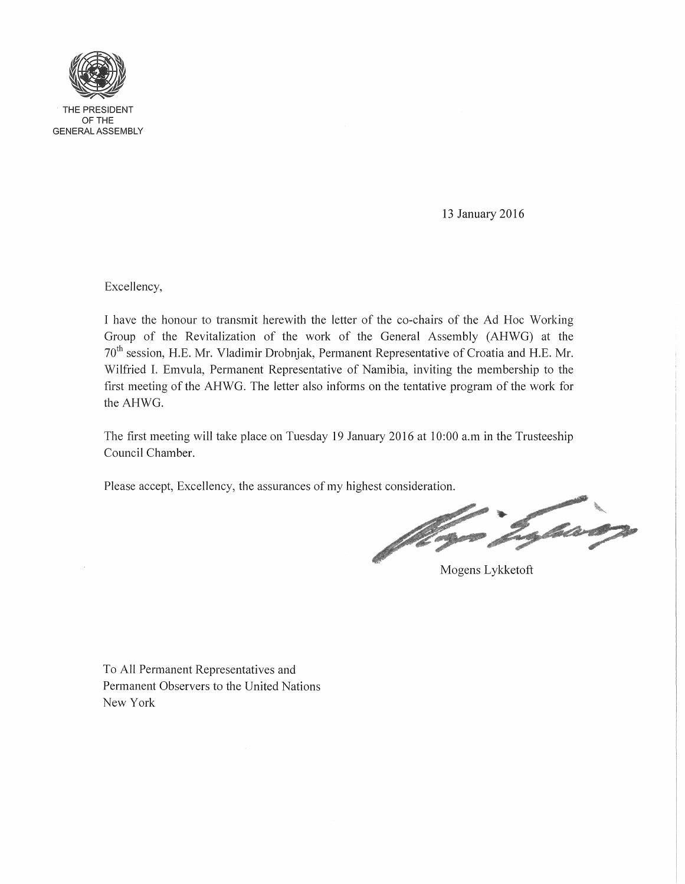

13 January 2016

Excellency,

I have the honour to transmit herewith the letter of the co-chairs of the Ad Hoc Working Group of the Revitalization of the work of the General Assembly (AHWG) at the 70<sup>th</sup> session, H.E. Mr. Vladimir Drobnjak, Permanent Representative of Croatia and H.E. Mr. Wilfried I. Emvula, Permanent Representative of Namibia, inviting the membership to the first meeting of the AHWG. The letter also informs on the tentative program of the work for the AHWG.

The first meeting will take place on Tuesday 19 January 2016 at 10:00 a.m in the Trusteeship Council Chamber.

Please accept, Excellency, the assurances of my highest consideration.

S Card

Mogens Lykketoft

To All Permanent Representatives and Permanent Observers to the United Nations New York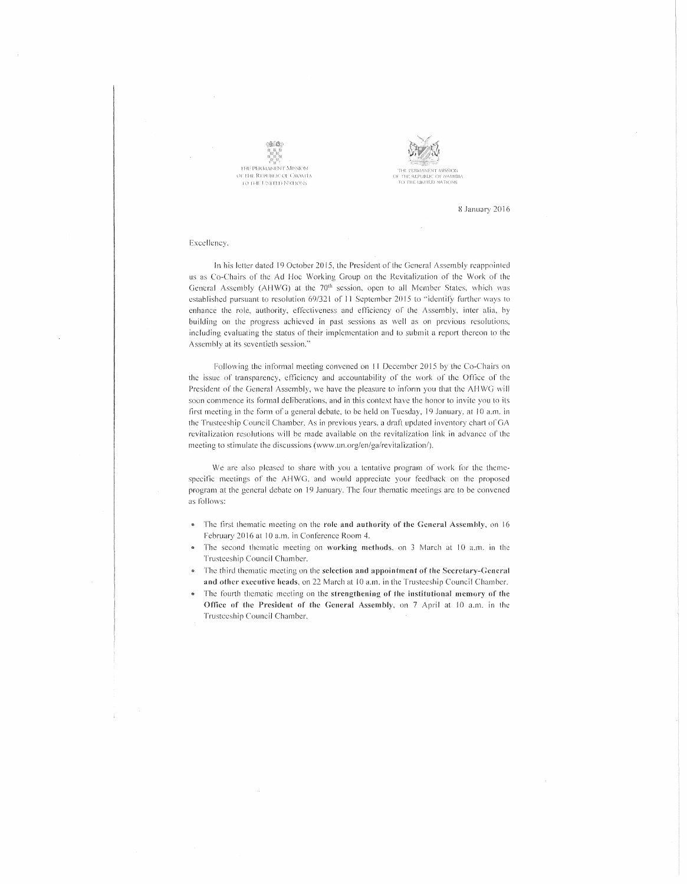



8 January 2016

Excellency.

In his letter dated 19 October 2015, the President of the General Assembly reappointed us as Co-Chairs of the Ad Hoc Working Group on the Revitalization of the Work of the General Assembly (AHWG) at the 70<sup>th</sup> session, open to all Member States, which was established pursuant to resolution 69/321 of 11 September 2015 to "identify further ways to enhance the role, authority, effectiveness and efficiency of the Assembly, inter alia, by building on the progress achieved in past sessions as well as on previous resolutions; including evaluating the status of their implementation and to submit a report thereon to the Assembly at its seventieth session,"

Following the informal meeting convened on 11 December 2015 by the Co-Chairs on the issue of transparency, efficiency and accountability of the work of the Office of the President of the General Assembly, we have the pleasure to inform you that the AHWG will soon commence its formal deliberations, and in this context have the honor to invite you to its first meeting in the form of a general debate, to be held on Tuesday, 19 January, at 10 a.m. in the Trusteeship Council Chamber. As in previous years, a draft updated inventory chart of GA revitalization resolutions will be made available on the revitalization link in advance of the meeting to stimulate the discussions (www.un.org/en/ga/revitalization/).

We are also pleased to share with you a tentative program of work for the themespecific meetings of the AHWG, and would appreciate your feedback on the proposed program at the general debate on 19 January. The four thematic meetings are to be convened as follows:

- The first thematic meeting on the role and authority of the General Assembly, on 16  $\alpha$ February 2016 at 10 a.m. in Conference Room 4.
- The second thematic meeting on working methods, on 3 March at 10 a.m. in the Trusteeship Council Chamber.
- The third thematic meeting on the selection and appointment of the Secretary-General and other executive heads, on 22 March at 10 a.m. in the Trusteeship Council Chamber.
- The fourth thematic meeting on the strengthening of the institutional memory of the Office of the President of the General Assembly, on 7 April at 10 a.m. in the Trusteeship Council Chamber,